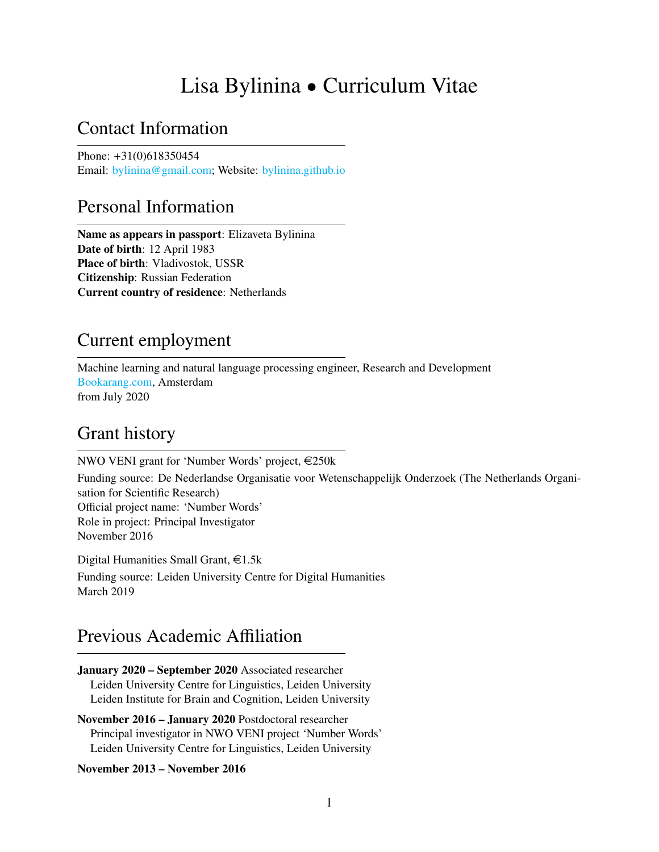# Lisa Bylinina • Curriculum Vitae

## Contact Information

Phone: +31(0)618350454 Email: [bylinina@gmail.com;](mailto://bylinina@gmail.com) Website: [bylinina.github.io](https://bylinina.github.io)

## Personal Information

Name as appears in passport: Elizaveta Bylinina Date of birth: 12 April 1983 Place of birth: Vladivostok, USSR Citizenship: Russian Federation Current country of residence: Netherlands

## Current employment

Machine learning and natural language processing engineer, Research and Development [Bookarang.com,](Bookarang.com) Amsterdam from July 2020

## Grant history

NWO VENI grant for 'Number Words' project,  $\epsilon$ 250k

Funding source: De Nederlandse Organisatie voor Wetenschappelijk Onderzoek (The Netherlands Organisation for Scientific Research) Official project name: 'Number Words' Role in project: Principal Investigator November 2016

Digital Humanities Small Grant,  $\in$ 1.5k Funding source: Leiden University Centre for Digital Humanities March 2019

## Previous Academic Affiliation

January 2020 – September 2020 Associated researcher Leiden University Centre for Linguistics, Leiden University Leiden Institute for Brain and Cognition, Leiden University

November 2016 – January 2020 Postdoctoral researcher Principal investigator in NWO VENI project 'Number Words' Leiden University Centre for Linguistics, Leiden University

### November 2013 – November 2016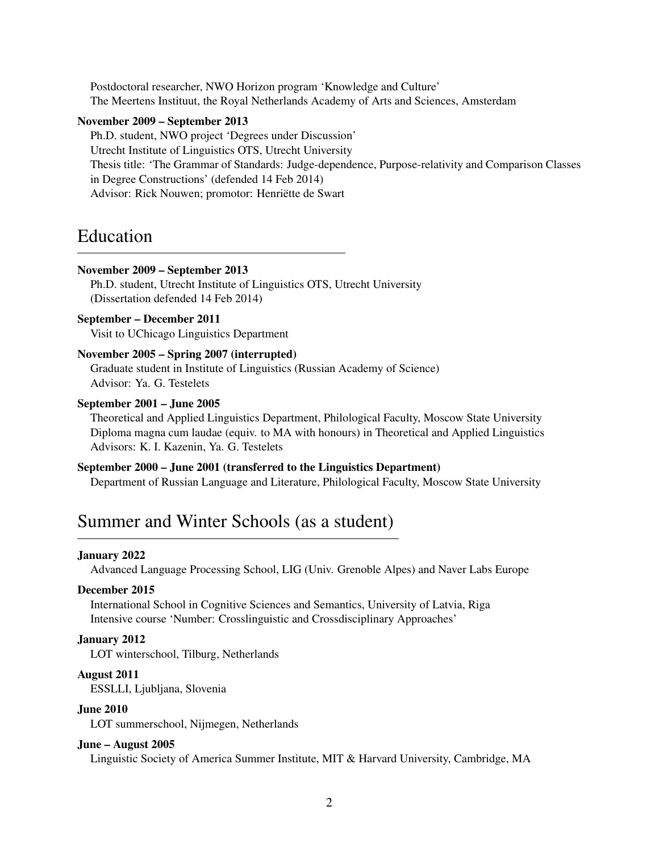Postdoctoral researcher, NWO Horizon program 'Knowledge and Culture' The Meertens Instituut, the Royal Netherlands Academy of Arts and Sciences, Amsterdam

#### November 2009 – September 2013

Ph.D. student, NWO project 'Degrees under Discussion' Utrecht Institute of Linguistics OTS, Utrecht University Thesis title: 'The Grammar of Standards: Judge-dependence, Purpose-relativity and Comparison Classes in Degree Constructions' (defended 14 Feb 2014) Advisor: Rick Nouwen; promotor: Henriëtte de Swart

## Education

#### November 2009 – September 2013

Ph.D. student, Utrecht Institute of Linguistics OTS, Utrecht University (Dissertation defended 14 Feb 2014)

### September – December 2011 Visit to UChicago Linguistics Department

### November 2005 – Spring 2007 (interrupted)

Graduate student in Institute of Linguistics (Russian Academy of Science) Advisor: Ya. G. Testelets

#### September 2001 – June 2005

Theoretical and Applied Linguistics Department, Philological Faculty, Moscow State University Diploma magna cum laudae (equiv. to MA with honours) in Theoretical and Applied Linguistics Advisors: K. I. Kazenin, Ya. G. Testelets

### September 2000 – June 2001 (transferred to the Linguistics Department)

Department of Russian Language and Literature, Philological Faculty, Moscow State University

## Summer and Winter Schools (as a student)

### January 2022

Advanced Language Processing School, LIG (Univ. Grenoble Alpes) and Naver Labs Europe

#### December 2015

International School in Cognitive Sciences and Semantics, University of Latvia, Riga Intensive course 'Number: Crosslinguistic and Crossdisciplinary Approaches'

### January 2012

LOT winterschool, Tilburg, Netherlands

### August 2011

ESSLLI, Ljubljana, Slovenia

#### June 2010

LOT summerschool, Nijmegen, Netherlands

#### June – August 2005

Linguistic Society of America Summer Institute, MIT & Harvard University, Cambridge, MA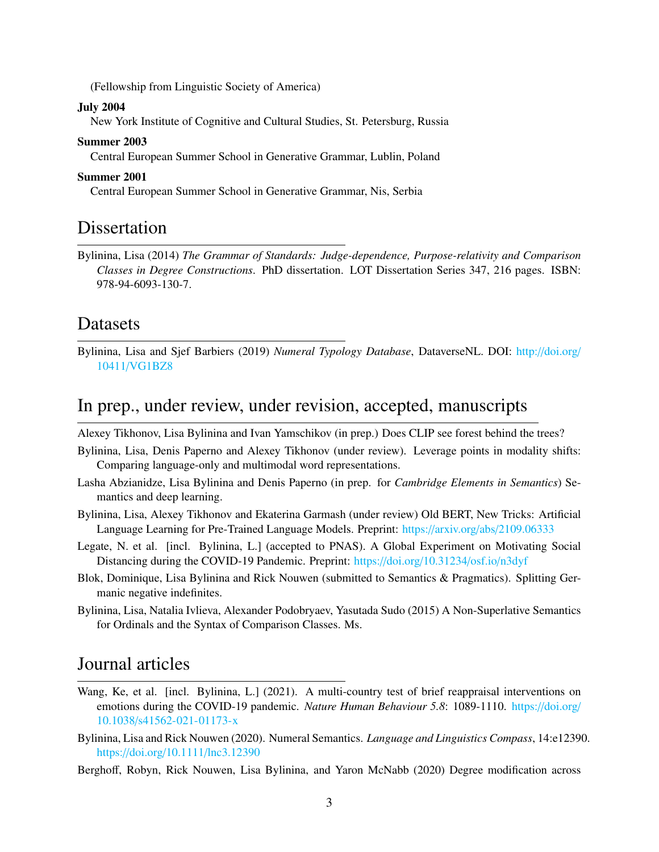(Fellowship from Linguistic Society of America)

#### July 2004

New York Institute of Cognitive and Cultural Studies, St. Petersburg, Russia

#### Summer 2003

Central European Summer School in Generative Grammar, Lublin, Poland

#### Summer 2001

Central European Summer School in Generative Grammar, Nis, Serbia

## Dissertation

Bylinina, Lisa (2014) *The Grammar of Standards: Judge-dependence, Purpose-relativity and Comparison Classes in Degree Constructions*. PhD dissertation. LOT Dissertation Series 347, 216 pages. ISBN: 978-94-6093-130-7.

### Datasets

Bylinina, Lisa and Sjef Barbiers (2019) *Numeral Typology Database*, DataverseNL. DOI: http://[doi.org](http://doi.org/10411/VG1BZ8)/ 10411/[VG1BZ8](http://doi.org/10411/VG1BZ8)

## In prep., under review, under revision, accepted, manuscripts

Alexey Tikhonov, Lisa Bylinina and Ivan Yamschikov (in prep.) Does CLIP see forest behind the trees?

- Bylinina, Lisa, Denis Paperno and Alexey Tikhonov (under review). Leverage points in modality shifts: Comparing language-only and multimodal word representations.
- Lasha Abzianidze, Lisa Bylinina and Denis Paperno (in prep. for *Cambridge Elements in Semantics*) Semantics and deep learning.
- Bylinina, Lisa, Alexey Tikhonov and Ekaterina Garmash (under review) Old BERT, New Tricks: Artificial Language Learning for Pre-Trained Language Models. Preprint: https://arxiv.org/abs/[2109.06333](https://arxiv.org/abs/2109.06333)
- Legate, N. et al. [incl. Bylinina, L.] (accepted to PNAS). A Global Experiment on Motivating Social Distancing during the COVID-19 Pandemic. Preprint: https://doi.org/[10.31234](https://doi.org/10.31234/osf.io/n3dyf)/osf.io/n3dyf
- Blok, Dominique, Lisa Bylinina and Rick Nouwen (submitted to Semantics & Pragmatics). Splitting Germanic negative indefinites.
- Bylinina, Lisa, Natalia Ivlieva, Alexander Podobryaev, Yasutada Sudo (2015) A Non-Superlative Semantics for Ordinals and the Syntax of Comparison Classes. Ms.

## Journal articles

- Wang, Ke, et al. [incl. Bylinina, L.] (2021). A multi-country test of brief reappraisal interventions on emotions during the COVID-19 pandemic. *Nature Human Behaviour 5.8*: 1089-1110. https://[doi.org](https://doi.org/10.1038/s41562-021-01173-x)/ 10.1038/[s41562-021-01173-x](https://doi.org/10.1038/s41562-021-01173-x)
- Bylinina, Lisa and Rick Nouwen (2020). Numeral Semantics. *Language and Linguistics Compass*, 14:e12390. https://doi.org/10.1111/[lnc3.12390](https://doi.org/10.1111/lnc3.12390)
- Berghoff, Robyn, Rick Nouwen, Lisa Bylinina, and Yaron McNabb (2020) Degree modification across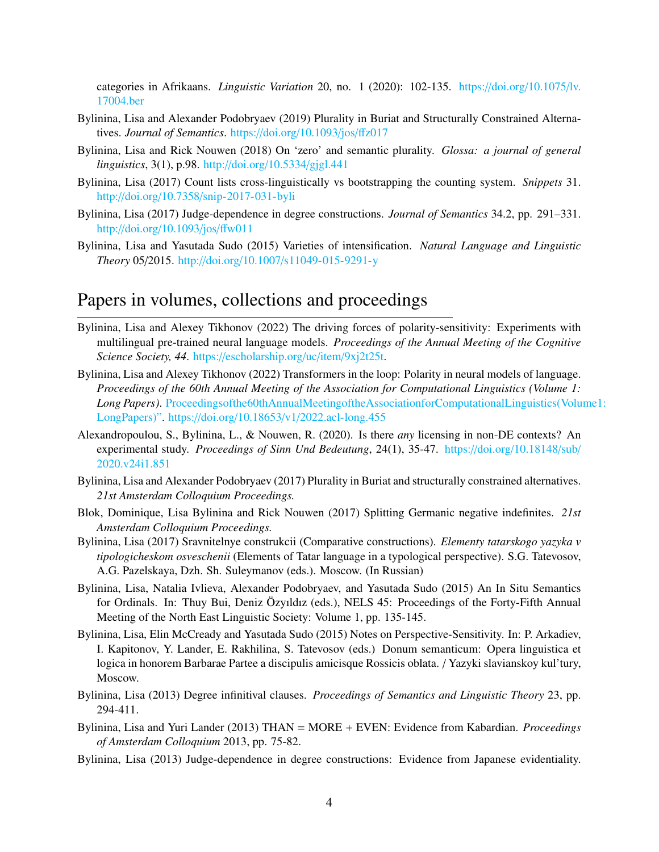categories in Afrikaans. *Linguistic Variation* 20, no. 1 (2020): 102-135. https://doi.org/[10.1075](https://doi.org/10.1075/lv.17004.ber)/lv. [17004.ber](https://doi.org/10.1075/lv.17004.ber)

- Bylinina, Lisa and Alexander Podobryaev (2019) Plurality in Buriat and Structurally Constrained Alternatives. *Journal of Semantics*. https://doi.org/[10.1093](https://doi.org/10.1093/jos/ffz017)/jos/ffz017
- Bylinina, Lisa and Rick Nouwen (2018) On 'zero' and semantic plurality. *Glossa: a journal of general linguistics*, 3(1), p.98. http://doi.org/10.5334/[gjgl.441](http://doi.org/10.5334/gjgl.441)
- Bylinina, Lisa (2017) Count lists cross-linguistically vs bootstrapping the counting system. *Snippets* 31. http://doi.org/10.7358/[snip-2017-031-byli](http://doi.org/10.7358/snip-2017-031-byli)
- Bylinina, Lisa (2017) Judge-dependence in degree constructions. *Journal of Semantics* 34.2, pp. 291–331. http://doi.org/[10.1093](http://doi.org/10.1093/jos/ffw011)/jos/ffw011
- Bylinina, Lisa and Yasutada Sudo (2015) Varieties of intensification. *Natural Language and Linguistic Theory* 05/2015. http://doi.org/10.1007/[s11049-015-9291-y](http://doi.org/10.1007/s11049-015-9291-y)

## Papers in volumes, collections and proceedings

- Bylinina, Lisa and Alexey Tikhonov (2022) The driving forces of polarity-sensitivity: Experiments with multilingual pre-trained neural language models. *Proceedings of the Annual Meeting of the Cognitive Science Society, 44*. https://[escholarship.org](https://escholarship.org/uc/item/9xj2t25t)/uc/item/9xj2t25t.
- Bylinina, Lisa and Alexey Tikhonov (2022) Transformers in the loop: Polarity in neural models of language. *Proceedings of the 60th Annual Meeting of the Association for Computational Linguistics (Volume 1: Long Papers)*. [Proceedingsofthe60thAnnualMeetingoftheAssociationforComputationalLinguistics\(Volu](Proceedings of the 60th Annual Meeting of the Association for Computational Linguistics (Volume 1: Long Papers)")me1: [LongPapers\)".](Proceedings of the 60th Annual Meeting of the Association for Computational Linguistics (Volume 1: Long Papers)") https://doi.org/10.18653/v1/[2022.acl-long.455](https://doi.org/10.18653/v1/2022.acl-long.455)
- Alexandropoulou, S., Bylinina, L., & Nouwen, R. (2020). Is there *any* licensing in non-DE contexts? An experimental study. *Proceedings of Sinn Und Bedeutung*, 24(1), 35-47. https://doi.org/[10.18148](https://doi.org/10.18148/sub/2020.v24i1.851)/sub/ [2020.v24i1.851](https://doi.org/10.18148/sub/2020.v24i1.851)
- Bylinina, Lisa and Alexander Podobryaev (2017) Plurality in Buriat and structurally constrained alternatives. *21st Amsterdam Colloquium Proceedings.*
- Blok, Dominique, Lisa Bylinina and Rick Nouwen (2017) Splitting Germanic negative indefinites. *21st Amsterdam Colloquium Proceedings.*
- Bylinina, Lisa (2017) Sravnitelnye construkcii (Comparative constructions). *Elementy tatarskogo yazyka v tipologicheskom osveschenii* (Elements of Tatar language in a typological perspective). S.G. Tatevosov, A.G. Pazelskaya, Dzh. Sh. Suleymanov (eds.). Moscow. (In Russian)
- Bylinina, Lisa, Natalia Ivlieva, Alexander Podobryaev, and Yasutada Sudo (2015) An In Situ Semantics for Ordinals. In: Thuy Bui, Deniz Özyıldız (eds.), NELS 45: Proceedings of the Forty-Fifth Annual Meeting of the North East Linguistic Society: Volume 1, pp. 135-145.
- Bylinina, Lisa, Elin McCready and Yasutada Sudo (2015) Notes on Perspective-Sensitivity. In: P. Arkadiev, I. Kapitonov, Y. Lander, E. Rakhilina, S. Tatevosov (eds.) Donum semanticum: Opera linguistica et logica in honorem Barbarae Partee a discipulis amicisque Rossicis oblata. / Yazyki slavianskoy kul'tury, Moscow.
- Bylinina, Lisa (2013) Degree infinitival clauses. *Proceedings of Semantics and Linguistic Theory* 23, pp. 294-411.
- Bylinina, Lisa and Yuri Lander (2013) THAN = MORE + EVEN: Evidence from Kabardian. *Proceedings of Amsterdam Colloquium* 2013, pp. 75-82.
- Bylinina, Lisa (2013) Judge-dependence in degree constructions: Evidence from Japanese evidentiality.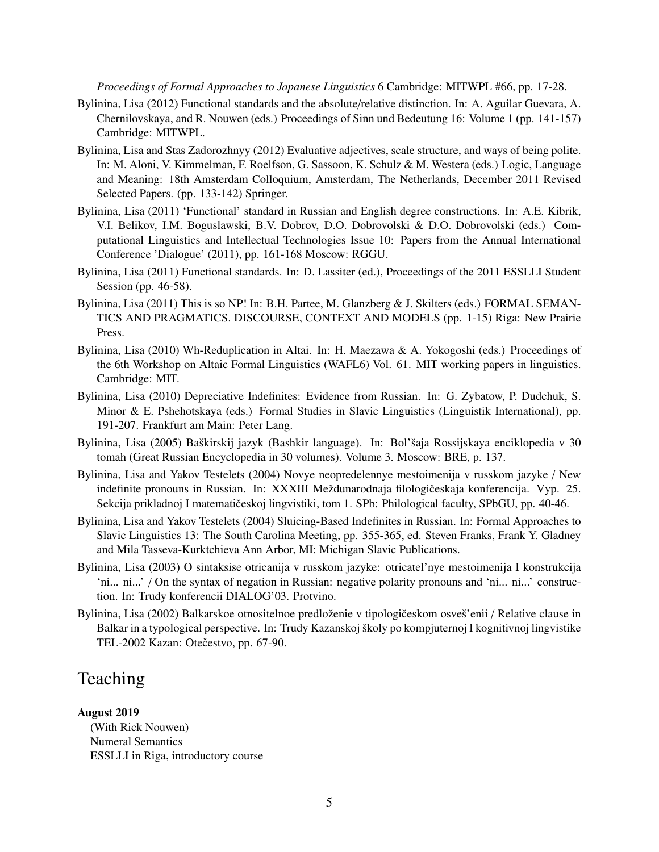*Proceedings of Formal Approaches to Japanese Linguistics* 6 Cambridge: MITWPL #66, pp. 17-28.

- Bylinina, Lisa (2012) Functional standards and the absolute/relative distinction. In: A. Aguilar Guevara, A. Chernilovskaya, and R. Nouwen (eds.) Proceedings of Sinn und Bedeutung 16: Volume 1 (pp. 141-157) Cambridge: MITWPL.
- Bylinina, Lisa and Stas Zadorozhnyy (2012) Evaluative adjectives, scale structure, and ways of being polite. In: M. Aloni, V. Kimmelman, F. Roelfson, G. Sassoon, K. Schulz & M. Westera (eds.) Logic, Language and Meaning: 18th Amsterdam Colloquium, Amsterdam, The Netherlands, December 2011 Revised Selected Papers. (pp. 133-142) Springer.
- Bylinina, Lisa (2011) 'Functional' standard in Russian and English degree constructions. In: A.E. Kibrik, V.I. Belikov, I.M. Boguslawski, B.V. Dobrov, D.O. Dobrovolski & D.O. Dobrovolski (eds.) Computational Linguistics and Intellectual Technologies Issue 10: Papers from the Annual International Conference 'Dialogue' (2011), pp. 161-168 Moscow: RGGU.
- Bylinina, Lisa (2011) Functional standards. In: D. Lassiter (ed.), Proceedings of the 2011 ESSLLI Student Session (pp. 46-58).
- Bylinina, Lisa (2011) This is so NP! In: B.H. Partee, M. Glanzberg & J. Skilters (eds.) FORMAL SEMAN-TICS AND PRAGMATICS. DISCOURSE, CONTEXT AND MODELS (pp. 1-15) Riga: New Prairie Press.
- Bylinina, Lisa (2010) Wh-Reduplication in Altai. In: H. Maezawa & A. Yokogoshi (eds.) Proceedings of the 6th Workshop on Altaic Formal Linguistics (WAFL6) Vol. 61. MIT working papers in linguistics. Cambridge: MIT.
- Bylinina, Lisa (2010) Depreciative Indefinites: Evidence from Russian. In: G. Zybatow, P. Dudchuk, S. Minor & E. Pshehotskaya (eds.) Formal Studies in Slavic Linguistics (Linguistik International), pp. 191-207. Frankfurt am Main: Peter Lang.
- Bylinina, Lisa (2005) Baškirskij jazyk (Bashkir language). In: Bol'šaja Rossijskaya enciklopedia v 30 tomah (Great Russian Encyclopedia in 30 volumes). Volume 3. Moscow: BRE, p. 137.
- Bylinina, Lisa and Yakov Testelets (2004) Novye neopredelennye mestoimenija v russkom jazyke / New indefinite pronouns in Russian. In: XXXIII Meždunarodnaja filologičeskaja konferencija. Vyp. 25. Sekcija prikladnoj I matematičeskoj lingvistiki, tom 1. SPb: Philological faculty, SPbGU, pp. 40-46.
- Bylinina, Lisa and Yakov Testelets (2004) Sluicing-Based Indefinites in Russian. In: Formal Approaches to Slavic Linguistics 13: The South Carolina Meeting, pp. 355-365, ed. Steven Franks, Frank Y. Gladney and Mila Tasseva-Kurktchieva Ann Arbor, MI: Michigan Slavic Publications.
- Bylinina, Lisa (2003) O sintaksise otricanija v russkom jazyke: otricatel'nye mestoimenija I konstrukcija 'ni... ni...' / On the syntax of negation in Russian: negative polarity pronouns and 'ni... ni...' construction. In: Trudy konferencii DIALOG'03. Protvino.
- Bylinina, Lisa (2002) Balkarskoe otnositelnoe predloženie v tipologičeskom osveš'enii / Relative clause in Balkar in a typological perspective. In: Trudy Kazanskoj školy po kompjuternoj I kognitivnoj lingvistike TEL-2002 Kazan: Otečestvo, pp. 67-90.

## Teaching

August 2019 (With Rick Nouwen) Numeral Semantics ESSLLI in Riga, introductory course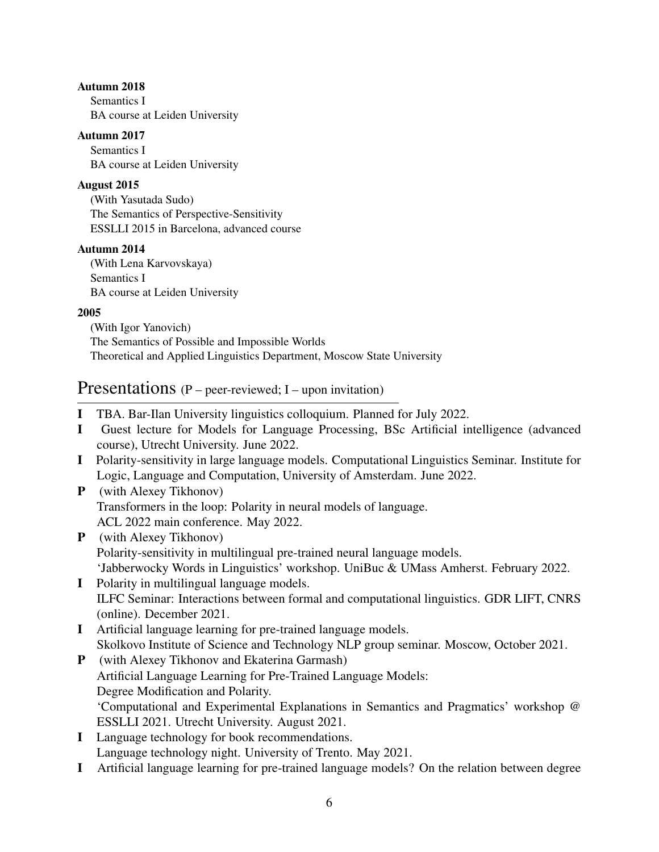### Autumn 2018

Semantics I BA course at Leiden University

### Autumn 2017

Semantics I BA course at Leiden University

### August 2015

(With Yasutada Sudo) The Semantics of Perspective-Sensitivity ESSLLI 2015 in Barcelona, advanced course

### Autumn 2014

(With Lena Karvovskaya) Semantics I BA course at Leiden University

### 2005

(With Igor Yanovich) The Semantics of Possible and Impossible Worlds Theoretical and Applied Linguistics Department, Moscow State University

## Presentations (P – peer-reviewed; I – upon invitation)

- I TBA. Bar-Ilan University linguistics colloquium. Planned for July 2022.
- I Guest lecture for Models for Language Processing, BSc Artificial intelligence (advanced course), Utrecht University. June 2022.
- I Polarity-sensitivity in large language models. Computational Linguistics Seminar. Institute for Logic, Language and Computation, University of Amsterdam. June 2022.
- P (with Alexey Tikhonov) Transformers in the loop: Polarity in neural models of language. ACL 2022 main conference. May 2022.
- P (with Alexey Tikhonov) Polarity-sensitivity in multilingual pre-trained neural language models. 'Jabberwocky Words in Linguistics' workshop. UniBuc & UMass Amherst. February 2022.
- I Polarity in multilingual language models. ILFC Seminar: Interactions between formal and computational linguistics. GDR LIFT, CNRS (online). December 2021.
- I Artificial language learning for pre-trained language models. Skolkovo Institute of Science and Technology NLP group seminar. Moscow, October 2021.
- P (with Alexey Tikhonov and Ekaterina Garmash) Artificial Language Learning for Pre-Trained Language Models: Degree Modification and Polarity. 'Computational and Experimental Explanations in Semantics and Pragmatics' workshop @ ESSLLI 2021. Utrecht University. August 2021.
- I Language technology for book recommendations. Language technology night. University of Trento. May 2021.
- I Artificial language learning for pre-trained language models? On the relation between degree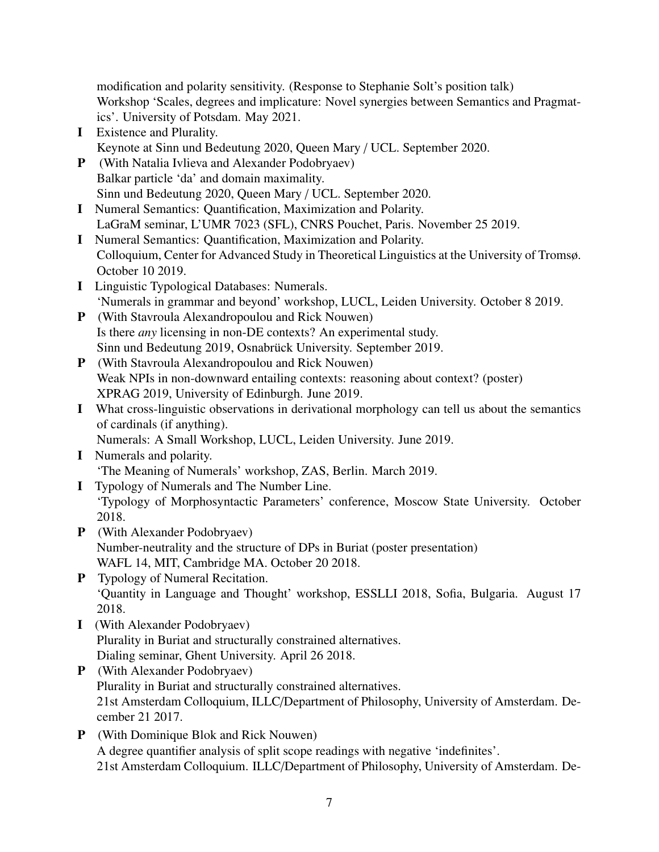modification and polarity sensitivity. (Response to Stephanie Solt's position talk) Workshop 'Scales, degrees and implicature: Novel synergies between Semantics and Pragmatics'. University of Potsdam. May 2021.

- I Existence and Plurality. Keynote at Sinn und Bedeutung 2020, Queen Mary / UCL. September 2020.
- P (With Natalia Ivlieva and Alexander Podobryaev) Balkar particle 'da' and domain maximality. Sinn und Bedeutung 2020, Queen Mary / UCL. September 2020.
- I Numeral Semantics: Quantification, Maximization and Polarity. LaGraM seminar, L'UMR 7023 (SFL), CNRS Pouchet, Paris. November 25 2019.
- I Numeral Semantics: Quantification, Maximization and Polarity. Colloquium, Center for Advanced Study in Theoretical Linguistics at the University of Tromsø. October 10 2019.
- I Linguistic Typological Databases: Numerals. 'Numerals in grammar and beyond' workshop, LUCL, Leiden University. October 8 2019.
- P (With Stavroula Alexandropoulou and Rick Nouwen) Is there *any* licensing in non-DE contexts? An experimental study. Sinn und Bedeutung 2019, Osnabrück University. September 2019.
- P (With Stavroula Alexandropoulou and Rick Nouwen) Weak NPIs in non-downward entailing contexts: reasoning about context? (poster) XPRAG 2019, University of Edinburgh. June 2019.
- I What cross-linguistic observations in derivational morphology can tell us about the semantics of cardinals (if anything).

Numerals: A Small Workshop, LUCL, Leiden University. June 2019.

- I Numerals and polarity. 'The Meaning of Numerals' workshop, ZAS, Berlin. March 2019.
- I Typology of Numerals and The Number Line. 'Typology of Morphosyntactic Parameters' conference, Moscow State University. October 2018.
- P (With Alexander Podobryaev) Number-neutrality and the structure of DPs in Buriat (poster presentation) WAFL 14, MIT, Cambridge MA. October 20 2018.
- P Typology of Numeral Recitation. 'Quantity in Language and Thought' workshop, ESSLLI 2018, Sofia, Bulgaria. August 17 2018.
- I (With Alexander Podobryaev) Plurality in Buriat and structurally constrained alternatives. Dialing seminar, Ghent University. April 26 2018.
- P (With Alexander Podobryaev) Plurality in Buriat and structurally constrained alternatives. 21st Amsterdam Colloquium, ILLC/Department of Philosophy, University of Amsterdam. December 21 2017.
- P (With Dominique Blok and Rick Nouwen) A degree quantifier analysis of split scope readings with negative 'indefinites'. 21st Amsterdam Colloquium. ILLC/Department of Philosophy, University of Amsterdam. De-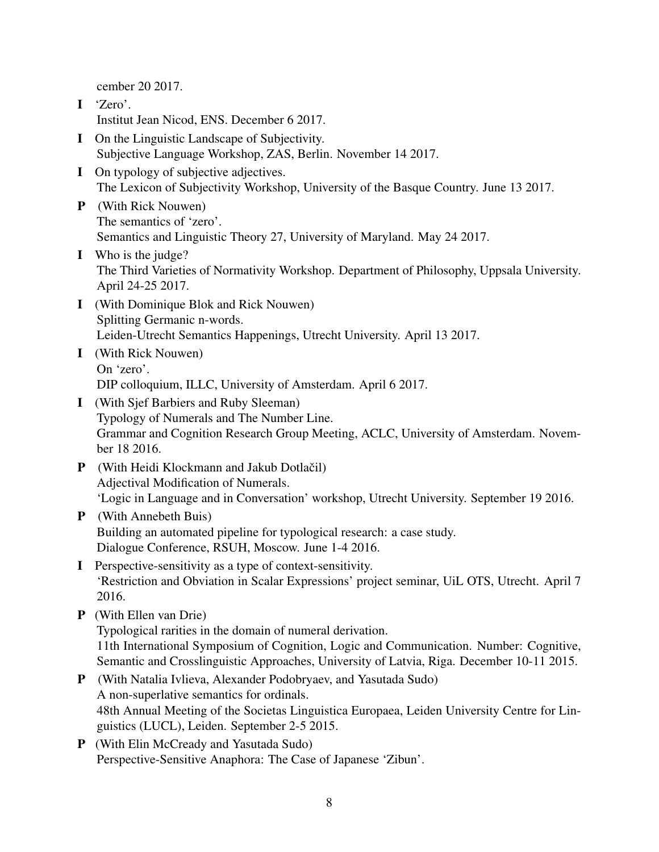cember 20 2017.

- I 'Zero'. Institut Jean Nicod, ENS. December 6 2017.
- I On the Linguistic Landscape of Subjectivity. Subjective Language Workshop, ZAS, Berlin. November 14 2017.
- I On typology of subjective adjectives. The Lexicon of Subjectivity Workshop, University of the Basque Country. June 13 2017.
- P (With Rick Nouwen) The semantics of 'zero'. Semantics and Linguistic Theory 27, University of Maryland. May 24 2017.
- I Who is the judge? The Third Varieties of Normativity Workshop. Department of Philosophy, Uppsala University. April 24-25 2017.
- I (With Dominique Blok and Rick Nouwen) Splitting Germanic n-words. Leiden-Utrecht Semantics Happenings, Utrecht University. April 13 2017.
- I (With Rick Nouwen) On 'zero'. DIP colloquium, ILLC, University of Amsterdam. April 6 2017.
- I (With Sjef Barbiers and Ruby Sleeman) Typology of Numerals and The Number Line. Grammar and Cognition Research Group Meeting, ACLC, University of Amsterdam. November 18 2016.
- P (With Heidi Klockmann and Jakub Dotlačil) Adjectival Modification of Numerals. 'Logic in Language and in Conversation' workshop, Utrecht University. September 19 2016.
- P (With Annebeth Buis) Building an automated pipeline for typological research: a case study. Dialogue Conference, RSUH, Moscow. June 1-4 2016.
- I Perspective-sensitivity as a type of context-sensitivity. 'Restriction and Obviation in Scalar Expressions' project seminar, UiL OTS, Utrecht. April 7 2016.
- P (With Ellen van Drie)

Typological rarities in the domain of numeral derivation. 11th International Symposium of Cognition, Logic and Communication. Number: Cognitive, Semantic and Crosslinguistic Approaches, University of Latvia, Riga. December 10-11 2015.

- P (With Natalia Ivlieva, Alexander Podobryaev, and Yasutada Sudo) A non-superlative semantics for ordinals. 48th Annual Meeting of the Societas Linguistica Europaea, Leiden University Centre for Linguistics (LUCL), Leiden. September 2-5 2015.
- P (With Elin McCready and Yasutada Sudo) Perspective-Sensitive Anaphora: The Case of Japanese 'Zibun'.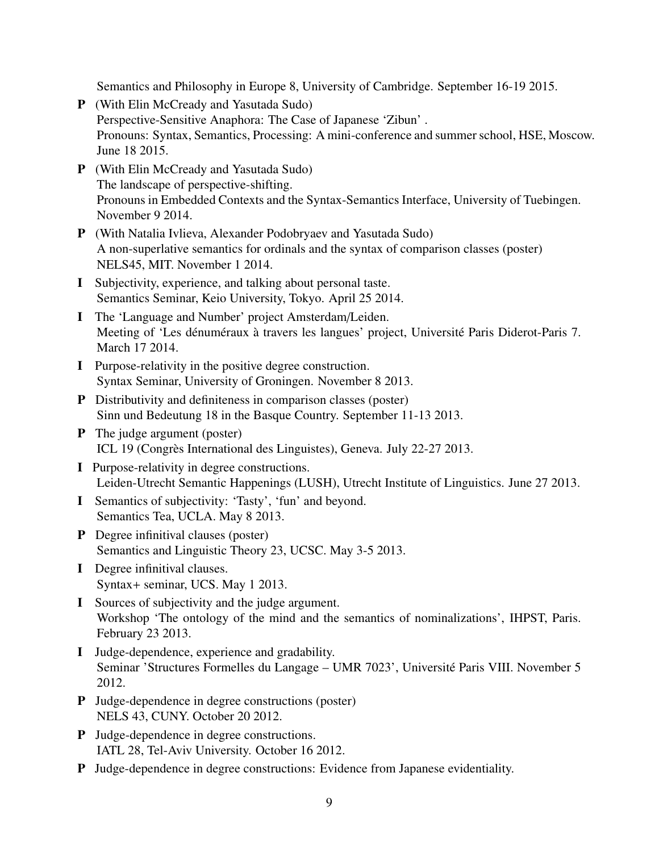Semantics and Philosophy in Europe 8, University of Cambridge. September 16-19 2015.

- P (With Elin McCready and Yasutada Sudo) Perspective-Sensitive Anaphora: The Case of Japanese 'Zibun' . Pronouns: Syntax, Semantics, Processing: A mini-conference and summer school, HSE, Moscow. June 18 2015.
- P (With Elin McCready and Yasutada Sudo) The landscape of perspective-shifting. Pronouns in Embedded Contexts and the Syntax-Semantics Interface, University of Tuebingen. November 9 2014.
- P (With Natalia Ivlieva, Alexander Podobryaev and Yasutada Sudo) A non-superlative semantics for ordinals and the syntax of comparison classes (poster) NELS45, MIT. November 1 2014.
- I Subjectivity, experience, and talking about personal taste. Semantics Seminar, Keio University, Tokyo. April 25 2014.
- I The 'Language and Number' project Amsterdam/Leiden. Meeting of 'Les dénuméraux à travers les langues' project, Université Paris Diderot-Paris 7. March 17 2014.
- I Purpose-relativity in the positive degree construction. Syntax Seminar, University of Groningen. November 8 2013.
- P Distributivity and definiteness in comparison classes (poster) Sinn und Bedeutung 18 in the Basque Country. September 11-13 2013.
- P The judge argument (poster) ICL 19 (Congrès International des Linguistes), Geneva. July 22-27 2013.
- I Purpose-relativity in degree constructions. Leiden-Utrecht Semantic Happenings (LUSH), Utrecht Institute of Linguistics. June 27 2013.
- I Semantics of subjectivity: 'Tasty', 'fun' and beyond. Semantics Tea, UCLA. May 8 2013.
- P Degree infinitival clauses (poster) Semantics and Linguistic Theory 23, UCSC. May 3-5 2013.
- I Degree infinitival clauses. Syntax+ seminar, UCS. May 1 2013.
- I Sources of subjectivity and the judge argument. Workshop 'The ontology of the mind and the semantics of nominalizations', IHPST, Paris. February 23 2013.
- I Judge-dependence, experience and gradability. Seminar 'Structures Formelles du Langage – UMR 7023', Universite Paris VIII. November 5 ´ 2012.
- P Judge-dependence in degree constructions (poster) NELS 43, CUNY. October 20 2012.
- P Judge-dependence in degree constructions. IATL 28, Tel-Aviv University. October 16 2012.
- P Judge-dependence in degree constructions: Evidence from Japanese evidentiality.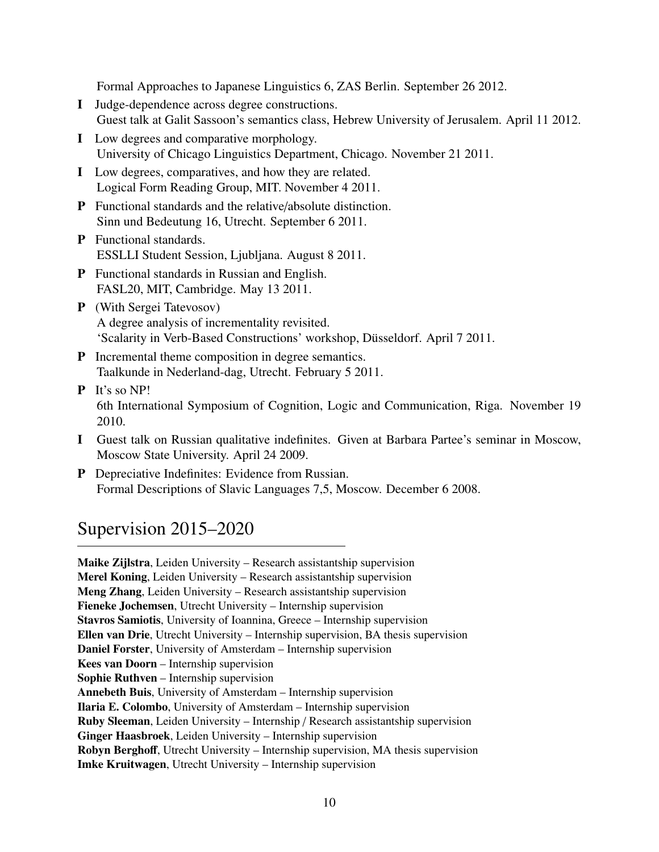Formal Approaches to Japanese Linguistics 6, ZAS Berlin. September 26 2012.

- I Judge-dependence across degree constructions. Guest talk at Galit Sassoon's semantics class, Hebrew University of Jerusalem. April 11 2012.
- I Low degrees and comparative morphology. University of Chicago Linguistics Department, Chicago. November 21 2011.
- I Low degrees, comparatives, and how they are related. Logical Form Reading Group, MIT. November 4 2011.
- P Functional standards and the relative/absolute distinction. Sinn und Bedeutung 16, Utrecht. September 6 2011.
- P Functional standards. ESSLLI Student Session, Ljubljana. August 8 2011.
- P Functional standards in Russian and English. FASL20, MIT, Cambridge. May 13 2011.
- P (With Sergei Tatevosov) A degree analysis of incrementality revisited. 'Scalarity in Verb-Based Constructions' workshop, Dusseldorf. April 7 2011. ¨
- P Incremental theme composition in degree semantics. Taalkunde in Nederland-dag, Utrecht. February 5 2011.
- P It's so NP! 6th International Symposium of Cognition, Logic and Communication, Riga. November 19 2010.
- I Guest talk on Russian qualitative indefinites. Given at Barbara Partee's seminar in Moscow, Moscow State University. April 24 2009.
- P Depreciative Indefinites: Evidence from Russian. Formal Descriptions of Slavic Languages 7,5, Moscow. December 6 2008.

## Supervision 2015–2020

Maike Zijlstra, Leiden University – Research assistantship supervision Merel Koning, Leiden University – Research assistantship supervision Meng Zhang, Leiden University – Research assistantship supervision Fieneke Jochemsen, Utrecht University – Internship supervision Stavros Samiotis, University of Ioannina, Greece – Internship supervision Ellen van Drie, Utrecht University – Internship supervision, BA thesis supervision Daniel Forster, University of Amsterdam – Internship supervision Kees van Doorn – Internship supervision Sophie Ruthven – Internship supervision Annebeth Buis, University of Amsterdam – Internship supervision Ilaria E. Colombo, University of Amsterdam – Internship supervision Ruby Sleeman, Leiden University – Internship / Research assistantship supervision Ginger Haasbroek, Leiden University – Internship supervision Robyn Berghoff, Utrecht University – Internship supervision, MA thesis supervision Imke Kruitwagen, Utrecht University – Internship supervision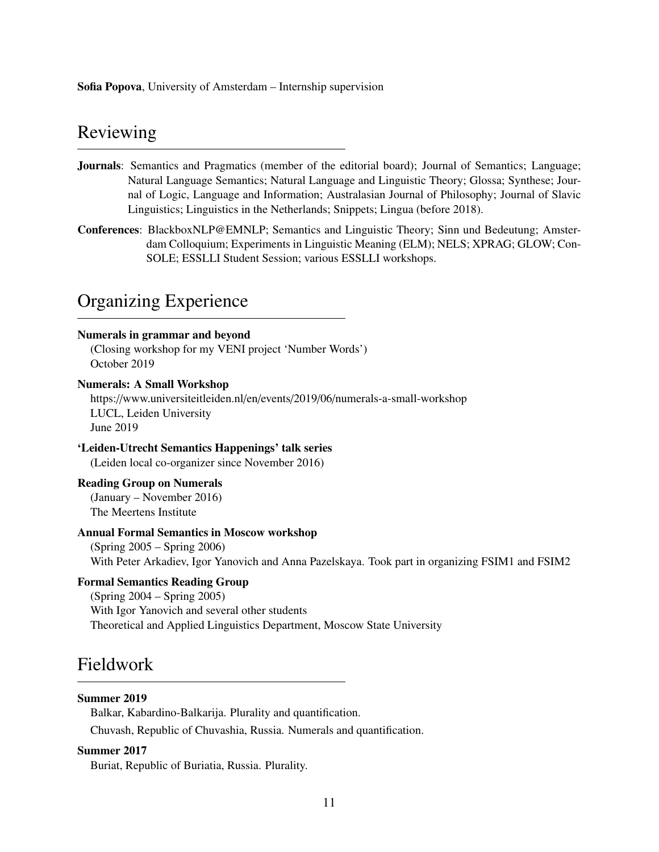Sofia Popova, University of Amsterdam – Internship supervision

## Reviewing

- Journals: Semantics and Pragmatics (member of the editorial board); Journal of Semantics; Language; Natural Language Semantics; Natural Language and Linguistic Theory; Glossa; Synthese; Journal of Logic, Language and Information; Australasian Journal of Philosophy; Journal of Slavic Linguistics; Linguistics in the Netherlands; Snippets; Lingua (before 2018).
- Conferences: BlackboxNLP@EMNLP; Semantics and Linguistic Theory; Sinn und Bedeutung; Amsterdam Colloquium; Experiments in Linguistic Meaning (ELM); NELS; XPRAG; GLOW; Con-SOLE; ESSLLI Student Session; various ESSLLI workshops.

## Organizing Experience

#### Numerals in grammar and beyond

(Closing workshop for my VENI project 'Number Words') October 2019

#### Numerals: A Small Workshop

https://www.universiteitleiden.nl/en/events/2019/06/numerals-a-small-workshop LUCL, Leiden University June 2019

#### 'Leiden-Utrecht Semantics Happenings' talk series

(Leiden local co-organizer since November 2016)

#### Reading Group on Numerals

(January – November 2016) The Meertens Institute

### Annual Formal Semantics in Moscow workshop

(Spring 2005 – Spring 2006) With Peter Arkadiev, Igor Yanovich and Anna Pazelskaya. Took part in organizing FSIM1 and FSIM2

### Formal Semantics Reading Group

(Spring 2004 – Spring 2005) With Igor Yanovich and several other students Theoretical and Applied Linguistics Department, Moscow State University

## Fieldwork

#### Summer 2019

Balkar, Kabardino-Balkarija. Plurality and quantification.

Chuvash, Republic of Chuvashia, Russia. Numerals and quantification.

#### Summer 2017

Buriat, Republic of Buriatia, Russia. Plurality.